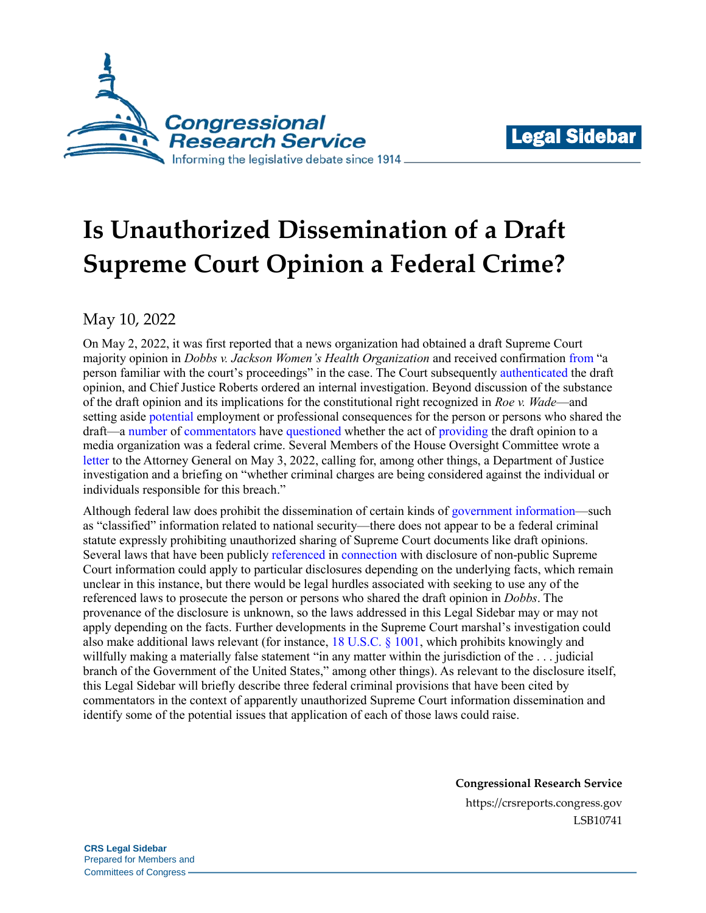



# **Is Unauthorized Dissemination of a Draft Supreme Court Opinion a Federal Crime?**

May 10, 2022

On May 2, 2022, it was first reported that a news organization had obtained a draft Supreme Court majority opinion in *Dobbs v. Jackson Women's Health Organization* and received confirmation [from](https://www.politico.com/news/2022/05/02/supreme-court-abortion-draft-opinion-00029473) "a person familiar with the court's proceedings" in the case. The Court subsequently [authenticated](https://www.supremecourt.gov/publicinfo/press/pressreleases/pr_05-03-22) the draft opinion, and Chief Justice Roberts ordered an internal investigation. Beyond discussion of the substance of the draft opinion and its implications for the constitutional right recognized in *Roe v. Wade*—and setting aside [potential](https://www.reuters.com/world/us/is-it-illegal-leak-us-supreme-court-opinion-2022-05-03/) employment or professional consequences for the person or persons who shared the draft—a [number](https://www.reuters.com/world/us/is-it-illegal-leak-us-supreme-court-opinion-2022-05-03/) o[f commentators](https://www.politifact.com/article/2022/may/05/ask-politifact-it-illegal-leak-draft-supreme-court/) have [questioned](https://www.usatoday.com/story/news/politics/2022/05/03/supreme-court-leak-roe-wade-not-illegal/9629153002/?gnt-cfr=1) whether the act of [providing](https://www.heritage.org/courts/commentary/could-supreme-court-leaker-be-criminally-prosecuted-maybe) the draft opinion to a media organization was a federal crime. Several Members of the House Oversight Committee wrote a [letter](https://www.documentcloud.org/documents/21850188-oversight-gop-letter-to-doj) to the Attorney General on May 3, 2022, calling for, among other things, a Department of Justice investigation and a briefing on "whether criminal charges are being considered against the individual or individuals responsible for this breach."

Although federal law does prohibit the dissemination of certain kinds of [government information—](https://crsreports.congress.gov/product/pdf/R/R41404)such as "classified" information related to national security—there does not appear to be a federal criminal statute expressly prohibiting unauthorized sharing of Supreme Court documents like draft opinions. Several laws that have been publicl[y referenced](https://www.politifact.com/article/2022/may/05/ask-politifact-it-illegal-leak-draft-supreme-court/) in [connection](https://www.wsj.com/articles/SB892411172642533500) with disclosure of non-public Supreme Court information could apply to particular disclosures depending on the underlying facts, which remain unclear in this instance, but there would be legal hurdles associated with seeking to use any of the referenced laws to prosecute the person or persons who shared the draft opinion in *Dobbs*. The provenance of the disclosure is unknown, so the laws addressed in this Legal Sidebar may or may not apply depending on the facts. Further developments in the Supreme Court marshal's investigation could also make additional laws relevant (for instance, [18 U.S.C.](https://uscode.house.gov/view.xhtml?req=granuleid:USC-prelim-title18-section1001&num=0&edition=prelim) § 1001, which prohibits knowingly and willfully making a materially false statement "in any matter within the jurisdiction of the . . . judicial branch of the Government of the United States," among other things). As relevant to the disclosure itself, this Legal Sidebar will briefly describe three federal criminal provisions that have been cited by commentators in the context of apparently unauthorized Supreme Court information dissemination and identify some of the potential issues that application of each of those laws could raise.

**Congressional Research Service**

https://crsreports.congress.gov LSB10741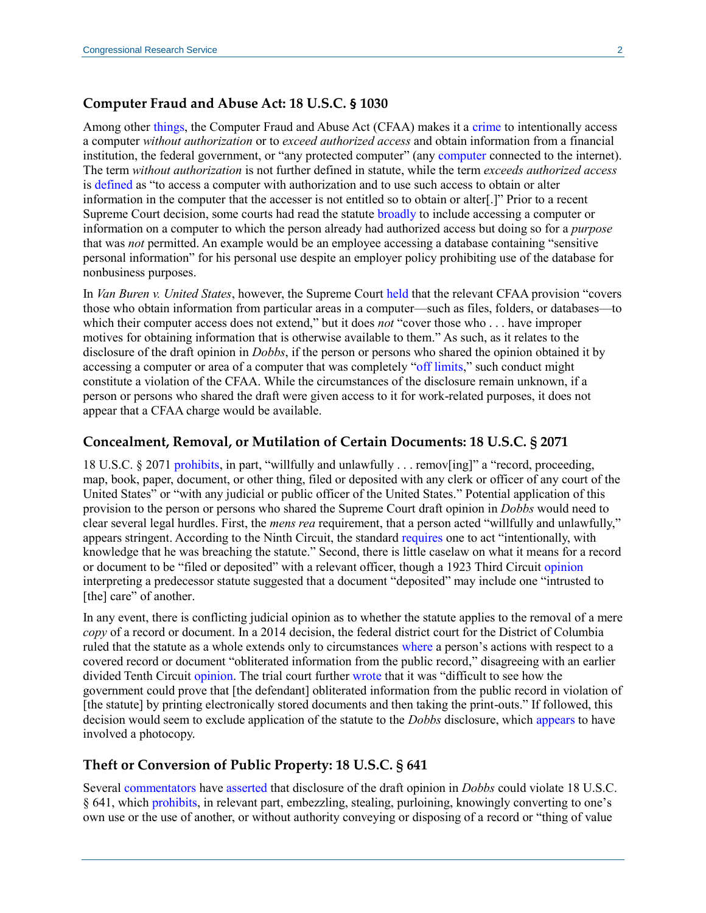### **Computer Fraud and Abuse Act: 18 U.S.C. § 1030**

Among other [things,](https://crsreports.congress.gov/product/pdf/R/R46536#_Toc52775094) the Computer Fraud and Abuse Act (CFAA) makes it a [crime](https://uscode.house.gov/view.xhtml?req=granuleid:USC-prelim-title18-section1030&num=0&edition=prelim) to intentionally access a computer *without authorization* or to *exceed authorized access* and obtain information from a financial institution, the federal government, or "any protected computer" (any [computer](https://www.supremecourt.gov/opinions/20pdf/19-783_k53l.pdf#page=6) connected to the internet). The term *without authorization* is not further defined in statute, while the term *exceeds authorized access* is [defined](https://uscode.house.gov/view.xhtml?req=granuleid:USC-prelim-title18-section1030&num=0&edition=prelim) as "to access a computer with authorization and to use such access to obtain or alter information in the computer that the accesser is not entitled so to obtain or alter[.]" Prior to a recent Supreme Court decision, some courts had read the statute [broadly](https://crsreports.congress.gov/product/pdf/LSB/LSB10616) to include accessing a computer or information on a computer to which the person already had authorized access but doing so for a *purpose* that was *not* permitted. An example would be an employee accessing a database containing "sensitive personal information" for his personal use despite an employer policy prohibiting use of the database for nonbusiness purposes.

In *Van Buren v. United States*, however, the Supreme Court [held](https://www.supremecourt.gov/opinions/20pdf/19-783_k53l.pdf#page=5) that the relevant CFAA provision "covers those who obtain information from particular areas in a computer—such as files, folders, or databases—to which their computer access does not extend," but it does *not* "cover those who . . . have improper motives for obtaining information that is otherwise available to them." As such, as it relates to the disclosure of the draft opinion in *Dobbs*, if the person or persons who shared the opinion obtained it by accessing a computer or area of a computer that was completely ["off limits,](https://www.supremecourt.gov/opinions/20pdf/19-783_k53l.pdf#page=24)" such conduct might constitute a violation of the CFAA. While the circumstances of the disclosure remain unknown, if a person or persons who shared the draft were given access to it for work-related purposes, it does not appear that a CFAA charge would be available.

#### **Concealment, Removal, or Mutilation of Certain Documents: 18 U.S.C. § 2071**

18 U.S.C. § 2071 [prohibits,](https://uscode.house.gov/view.xhtml?req=granuleid:USC-prelim-title18-section2071&num=0&edition=prelim) in part, "willfully and unlawfully . . . remov[ing]" a "record, proceeding, map, book, paper, document, or other thing, filed or deposited with any clerk or officer of any court of the United States" or "with any judicial or public officer of the United States." Potential application of this provision to the person or persons who shared the Supreme Court draft opinion in *Dobbs* would need to clear several legal hurdles. First, the *mens rea* requirement, that a person acted "willfully and unlawfully," appears stringent. According to the Ninth Circuit, the standard [requires](https://scholar.google.com/scholar_case?case=3978885874337200604&q=455+F.3d+1022&hl=en&as_sdt=20006#p1024) one to act "intentionally, with knowledge that he was breaching the statute." Second, there is little caselaw on what it means for a record or document to be "filed or deposited" with a relevant officer, though a 1923 Third Circuit [opinion](https://cite.case.law/f/292/750/) interpreting a predecessor statute suggested that a document "deposited" may include one "intrusted to [the] care" of another.

In any event, there is conflicting judicial opinion as to whether the statute applies to the removal of a mere *copy* of a record or document. In a 2014 decision, the federal district court for the District of Columbia ruled that the statute as a whole extends only to circumstances [where](https://scholar.google.com/scholar_case?case=6398261531284474388&q=991+F.Supp.2d+108&hl=en&as_sdt=20006#p124) a person's actions with respect to a covered record or document "obliterated information from the public record," disagreeing with an earlier divided Tenth Circuit [opinion.](https://scholar.google.com/scholar_case?case=14505616696233100206&q=991+F.Supp.2d+108&hl=en&as_sdt=20006) The trial court further [wrote](https://scholar.google.com/scholar_case?case=6398261531284474388&q=991+F.Supp.2d+108&hl=en&as_sdt=20006#p126) that it was "difficult to see how the government could prove that [the defendant] obliterated information from the public record in violation of [the statute] by printing electronically stored documents and then taking the print-outs." If followed, this decision would seem to exclude application of the statute to the *Dobbs* disclosure, which [appears](https://www.politico.com/news/2022/05/02/read-justice-alito-initial-abortion-opinion-overturn-roe-v-wade-pdf-00029504) to have involved a photocopy.

#### **Theft or Conversion of Public Property: 18 U.S.C. § 641**

Severa[l commentators](https://www.heritage.org/courts/commentary/could-supreme-court-leaker-be-criminally-prosecuted-maybe) have [asserted](https://www.reuters.com/world/us/is-it-illegal-leak-us-supreme-court-opinion-2022-05-03/) that disclosure of the draft opinion in *Dobbs* could violate 18 U.S.C. § 641, which [prohibits,](https://uscode.house.gov/view.xhtml?req=granuleid:USC-prelim-title18-section641&num=0&edition=prelim) in relevant part, embezzling, stealing, purloining, knowingly converting to one's own use or the use of another, or without authority conveying or disposing of a record or "thing of value